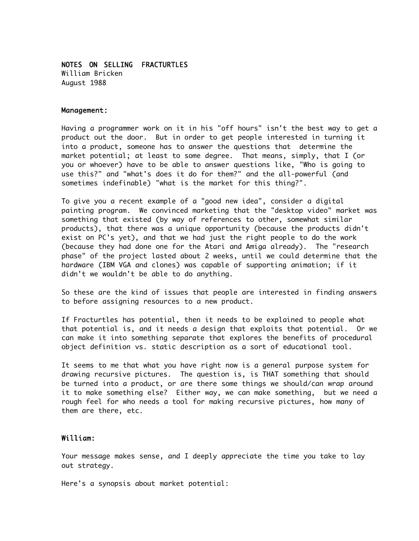## NOTES ON SELLING FRACTURTLES

William Bricken August 1988

## Management:

Having a programmer work on it in his "off hours" isn't the best way to get a product out the door. But in order to get people interested in turning it into a product, someone has to answer the questions that determine the market potential; at least to some degree. That means, simply, that I (or you or whoever) have to be able to answer questions like, "Who is going to use this?" and "what's does it do for them?" and the all-powerful (and sometimes indefinable) "what is the market for this thing?".

To give you a recent example of a "good new idea", consider a digital painting program. We convinced marketing that the "desktop video" market was something that existed (by way of references to other, somewhat similar products), that there was a unique opportunity (because the products didn't exist on PC's yet), and that we had just the right people to do the work (because they had done one for the Atari and Amiga already). The "research phase" of the project lasted about 2 weeks, until we could determine that the hardware (IBM VGA and clones) was capable of supporting animation; if it didn't we wouldn't be able to do anything.

So these are the kind of issues that people are interested in finding answers to before assigning resources to a new product.

If Fracturtles has potential, then it needs to be explained to people what that potential is, and it needs a design that exploits that potential. Or we can make it into something separate that explores the benefits of procedural object definition vs. static description as a sort of educational tool.

It seems to me that what you have right now is a general purpose system for drawing recursive pictures. The question is, is THAT something that should be turned into a product, or are there some things we should/can wrap around it to make something else? Either way, we can make something, but we need a rough feel for who needs a tool for making recursive pictures, how many of them are there, etc.

## William:

Your message makes sense, and I deeply appreciate the time you take to lay out strategy.

Here's a synopsis about market potential: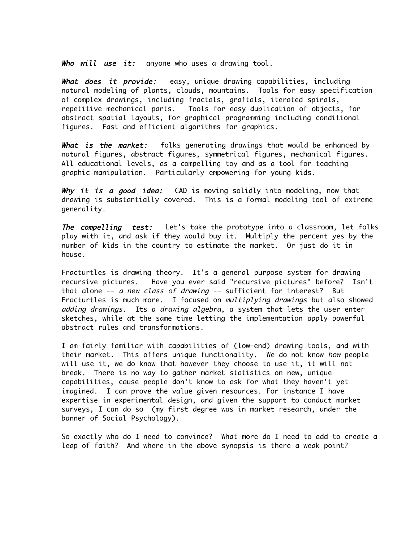Who will use it: anyone who uses a drawing tool.

What does it provide: easy, unique drawing capabilities, including natural modeling of plants, clouds, mountains. Tools for easy specification of complex drawings, including fractals, graftals, iterated spirals, repetitive mechanical parts. Tools for easy duplication of objects, for abstract spatial layouts, for graphical programming including conditional figures. Fast and efficient algorithms for graphics.

What is the market: folks generating drawings that would be enhanced by natural figures, abstract figures, symmetrical figures, mechanical figures. All educational levels, as a compelling toy and as a tool for teaching graphic manipulation. Particularly empowering for young kids.

Why it is a good idea: CAD is moving solidly into modeling, now that drawing is substantially covered. This is a formal modeling tool of extreme generality.

The compelling test: Let's take the prototype into a classroom, let folks play with it, and ask if they would buy it. Multiply the percent yes by the number of kids in the country to estimate the market. Or just do it in house.

Fracturtles is drawing theory. It's a general purpose system for drawing recursive pictures. Have you ever said "recursive pictures" before? Isn't that alone -- a new class of drawing -- sufficient for interest? But Fracturtles is much more. I focused on multiplying drawings but also showed adding drawings. Its a drawing algebra, a system that lets the user enter sketches, while at the same time letting the implementation apply powerful abstract rules and transformations.

I am fairly familiar with capabilities of (low-end) drawing tools, and with their market. This offers unique functionality. We do not know how people will use it, we do know that however they choose to use it, it will not break. There is no way to gather market statistics on new, unique capabilities, cause people don't know to ask for what they haven't yet imagined. I can prove the value given resources. For instance I have expertise in experimental design, and given the support to conduct market surveys, I can do so (my first degree was in market research, under the banner of Social Psychology).

So exactly who do I need to convince? What more do I need to add to create a leap of faith? And where in the above synopsis is there a weak point?